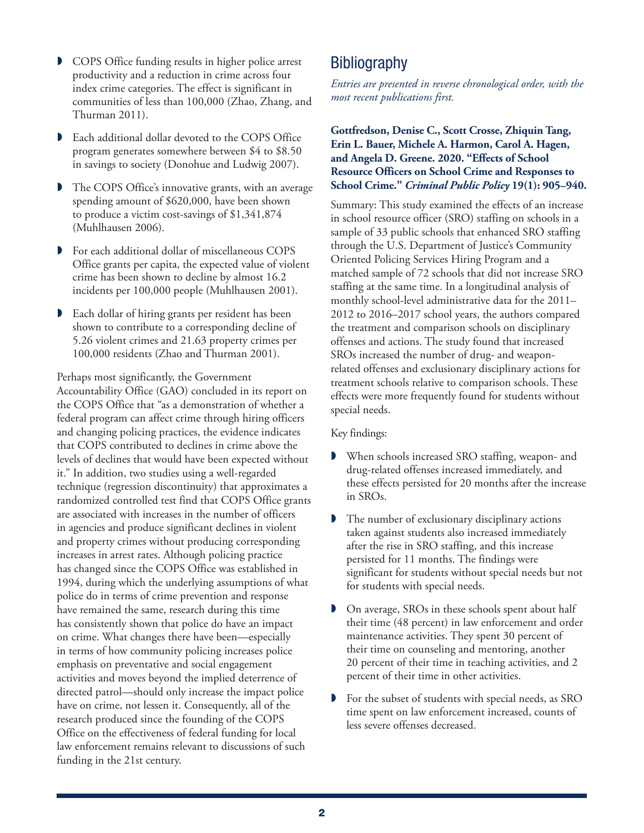- COPS Office funding results in higher police arrest productivity and a reduction in crime across four index crime categories. The effect is significant in communities of less than 100,000 (Zhao, Zhang, and Thurman 2011).
- Each additional dollar devoted to the COPS Office program generates somewhere between \$4 to \$8.50 in savings to society (Donohue and Ludwig 2007).
- The COPS Office's innovative grants, with an average spending amount of \$620,000, have been shown to produce a victim cost-savings of \$1,341,874 (Muhlhausen 2006).
- For each additional dollar of miscellaneous COPS Office grants per capita, the expected value of violent crime has been shown to decline by almost 16.2 incidents per 100,000 people (Muhlhausen 2001).
- Each dollar of hiring grants per resident has been shown to contribute to a corresponding decline of 5.26 violent crimes and 21.63 property crimes per 100,000 residents (Zhao and Thurman 2001).

Perhaps most significantly, the Government Accountability Office (GAO) concluded in its report on the COPS Office that "as a demonstration of whether a federal program can affect crime through hiring officers and changing policing practices, the evidence indicates that COPS contributed to declines in crime above the levels of declines that would have been expected without it." In addition, two studies using a well-regarded technique (regression discontinuity) that approximates a randomized controlled test find that COPS Office grants are associated with increases in the number of officers in agencies and produce significant declines in violent and property crimes without producing corresponding increases in arrest rates. Although policing practice has changed since the COPS Office was established in 1994, during which the underlying assumptions of what police do in terms of crime prevention and response have remained the same, research during this time has consistently shown that police do have an impact on crime. What changes there have been—especially in terms of how community policing increases police emphasis on preventative and social engagement activities and moves beyond the implied deterrence of directed patrol—should only increase the impact police have on crime, not lessen it. Consequently, all of the research produced since the founding of the COPS Office on the effectiveness of federal funding for local law enforcement remains relevant to discussions of such funding in the 21st century.

# **Bibliography**

*Entries are presented in reverse chronological order, with the most recent publications first.* 

# **Gottfredson, Denise C., Scott Crosse, Zhiquin Tang, Erin L. Bauer, Michele A. Harmon, Carol A. Hagen, and Angela D. Greene. 2020. "Effects of School Resource Officers on School Crime and Responses to School Crime."** *Criminal Public Policy* **19(1): 905–940.**

Summary: This study examined the effects of an increase in school resource officer (SRO) staffing on schools in a sample of 33 public schools that enhanced SRO staffing through the U.S. Department of Justice's Community Oriented Policing Services Hiring Program and a matched sample of 72 schools that did not increase SRO staffing at the same time. In a longitudinal analysis of monthly school-level administrative data for the 2011– 2012 to 2016–2017 school years, the authors compared the treatment and comparison schools on disciplinary offenses and actions. The study found that increased SROs increased the number of drug- and weaponrelated offenses and exclusionary disciplinary actions for treatment schools relative to comparison schools. These effects were more frequently found for students without special needs.

- When schools increased SRO staffing, weapon- and drug-related offenses increased immediately, and these effects persisted for 20 months after the increase in SROs.
- The number of exclusionary disciplinary actions taken against students also increased immediately after the rise in SRO staffing, and this increase persisted for 11 months. The findings were significant for students without special needs but not for students with special needs.
- On average, SROs in these schools spent about half their time (48 percent) in law enforcement and order maintenance activities. They spent 30 percent of their time on counseling and mentoring, another 20 percent of their time in teaching activities, and 2 percent of their time in other activities.
- For the subset of students with special needs, as SRO time spent on law enforcement increased, counts of less severe offenses decreased.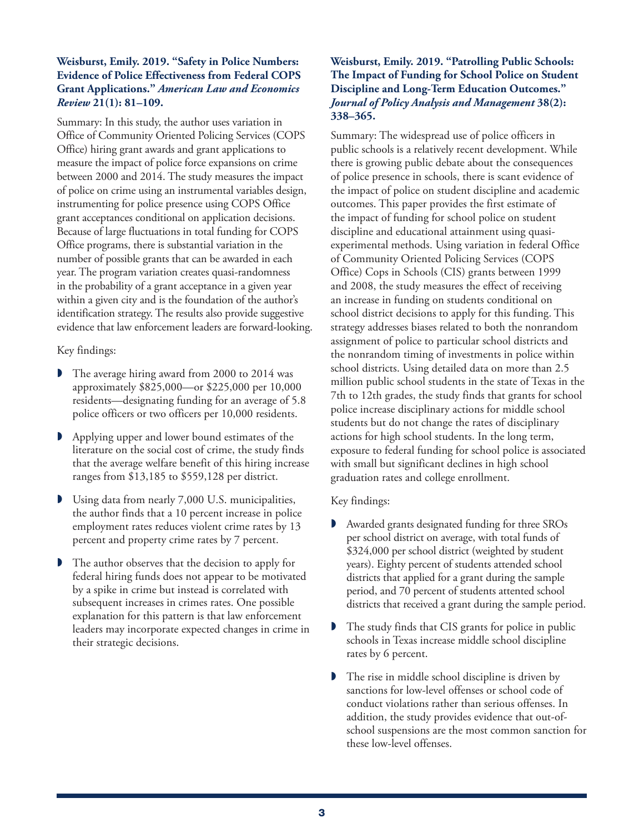## **Weisburst, Emily. 2019. "Safety in Police Numbers: Evidence of Police Effectiveness from Federal COPS Grant Applications."** *American Law and Economics Review* **21(1): 81–109.**

Summary: In this study, the author uses variation in Office of Community Oriented Policing Services (COPS Office) hiring grant awards and grant applications to measure the impact of police force expansions on crime between 2000 and 2014. The study measures the impact of police on crime using an instrumental variables design, instrumenting for police presence using COPS Office grant acceptances conditional on application decisions. Because of large fluctuations in total funding for COPS Office programs, there is substantial variation in the number of possible grants that can be awarded in each year. The program variation creates quasi-randomness in the probability of a grant acceptance in a given year within a given city and is the foundation of the author's identification strategy. The results also provide suggestive evidence that law enforcement leaders are forward-looking.

# Key findings:

- The average hiring award from 2000 to 2014 was approximately \$825,000—or \$225,000 per 10,000 residents—designating funding for an average of 5.8 police officers or two officers per 10,000 residents.
- Applying upper and lower bound estimates of the literature on the social cost of crime, the study finds that the average welfare benefit of this hiring increase ranges from \$13,185 to \$559,128 per district.
- Using data from nearly 7,000 U.S. municipalities, the author finds that a 10 percent increase in police employment rates reduces violent crime rates by 13 percent and property crime rates by 7 percent.
- The author observes that the decision to apply for federal hiring funds does not appear to be motivated by a spike in crime but instead is correlated with subsequent increases in crimes rates. One possible explanation for this pattern is that law enforcement leaders may incorporate expected changes in crime in their strategic decisions.

# **Weisburst, Emily. 2019. "Patrolling Public Schools: The Impact of Funding for School Police on Student Discipline and Long-Term Education Outcomes."**  *Journal of Policy Analysis and Management* **38(2): 338–365.**

Summary: The widespread use of police officers in public schools is a relatively recent development. While there is growing public debate about the consequences of police presence in schools, there is scant evidence of the impact of police on student discipline and academic outcomes. This paper provides the first estimate of the impact of funding for school police on student discipline and educational attainment using quasiexperimental methods. Using variation in federal Office of Community Oriented Policing Services (COPS Office) Cops in Schools (CIS) grants between 1999 and 2008, the study measures the effect of receiving an increase in funding on students conditional on school district decisions to apply for this funding. This strategy addresses biases related to both the nonrandom assignment of police to particular school districts and the nonrandom timing of investments in police within school districts. Using detailed data on more than 2.5 million public school students in the state of Texas in the 7th to 12th grades, the study finds that grants for school police increase disciplinary actions for middle school students but do not change the rates of disciplinary actions for high school students. In the long term, exposure to federal funding for school police is associated with small but significant declines in high school graduation rates and college enrollment.

- Awarded grants designated funding for three SROs per school district on average, with total funds of \$324,000 per school district (weighted by student years). Eighty percent of students attended school districts that applied for a grant during the sample period, and 70 percent of students attented school districts that received a grant during the sample period.
- The study finds that CIS grants for police in public schools in Texas increase middle school discipline rates by 6 percent.
- The rise in middle school discipline is driven by sanctions for low-level offenses or school code of conduct violations rather than serious offenses. In addition, the study provides evidence that out-ofschool suspensions are the most common sanction for these low-level offenses.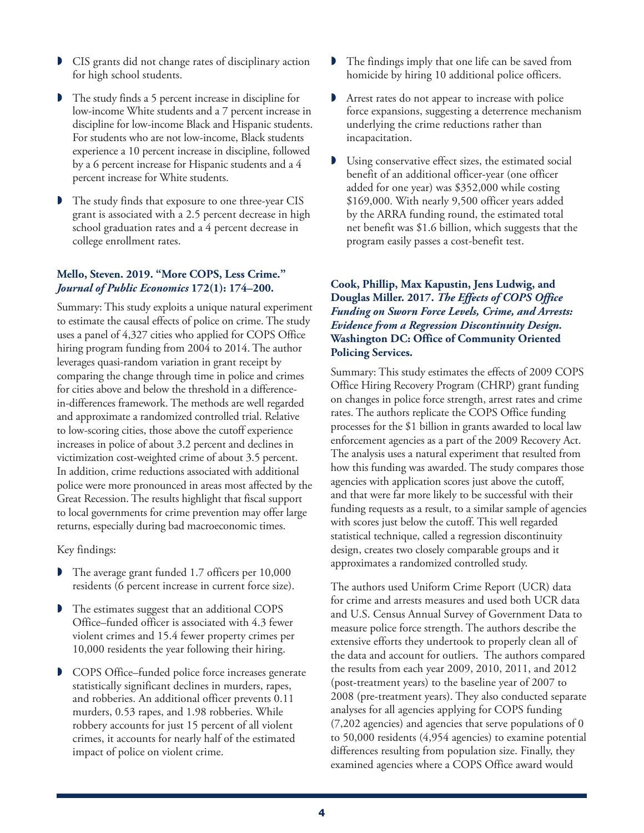- CIS grants did not change rates of disciplinary action for high school students.
- The study finds a 5 percent increase in discipline for low-income White students and a 7 percent increase in discipline for low-income Black and Hispanic students. For students who are not low-income, Black students experience a 10 percent increase in discipline, followed by a 6 percent increase for Hispanic students and a 4 percent increase for White students.
- The study finds that exposure to one three-year CIS grant is associated with a 2.5 percent decrease in high school graduation rates and a 4 percent decrease in college enrollment rates.

#### **Mello, Steven. 2019. "More COPS, Less Crime."**  *Journal of Public Economics* **172(1): 174–200.**

Summary: This study exploits a unique natural experiment to estimate the causal effects of police on crime. The study uses a panel of 4,327 cities who applied for COPS Office hiring program funding from 2004 to 2014. The author leverages quasi-random variation in grant receipt by comparing the change through time in police and crimes for cities above and below the threshold in a differencein-differences framework. The methods are well regarded and approximate a randomized controlled trial. Relative to low-scoring cities, those above the cutoff experience increases in police of about 3.2 percent and declines in victimization cost-weighted crime of about 3.5 percent. In addition, crime reductions associated with additional police were more pronounced in areas most affected by the Great Recession. The results highlight that fiscal support to local governments for crime prevention may offer large returns, especially during bad macroeconomic times.

Key findings:

- The average grant funded 1.7 officers per 10,000 residents (6 percent increase in current force size).
- The estimates suggest that an additional COPS Office–funded officer is associated with 4.3 fewer violent crimes and 15.4 fewer property crimes per 10,000 residents the year following their hiring.
- **D** COPS Office–funded police force increases generate statistically significant declines in murders, rapes, and robberies. An additional officer prevents 0.11 murders, 0.53 rapes, and 1.98 robberies. While robbery accounts for just 15 percent of all violent crimes, it accounts for nearly half of the estimated impact of police on violent crime.
- The findings imply that one life can be saved from homicide by hiring 10 additional police officers.
- Arrest rates do not appear to increase with police force expansions, suggesting a deterrence mechanism underlying the crime reductions rather than incapacitation.
- Using conservative effect sizes, the estimated social benefit of an additional officer-year (one officer added for one year) was \$352,000 while costing \$169,000. With nearly 9,500 officer years added by the ARRA funding round, the estimated total net benefit was \$1.6 billion, which suggests that the program easily passes a cost-benefit test.

# **Cook, Phillip, Max Kapustin, Jens Ludwig, and Douglas Miller. 2017.** *The Effects of COPS Office Funding on Sworn Force Levels, Crime, and Arrests: Evidence from a Regression Discontinuity Design.*  **Washington DC: Office of Community Oriented Policing Services.**

Summary: This study estimates the effects of 2009 COPS Office Hiring Recovery Program (CHRP) grant funding on changes in police force strength, arrest rates and crime rates. The authors replicate the COPS Office funding processes for the \$1 billion in grants awarded to local law enforcement agencies as a part of the 2009 Recovery Act. The analysis uses a natural experiment that resulted from how this funding was awarded. The study compares those agencies with application scores just above the cutoff, and that were far more likely to be successful with their funding requests as a result, to a similar sample of agencies with scores just below the cutoff. This well regarded statistical technique, called a regression discontinuity design, creates two closely comparable groups and it approximates a randomized controlled study.

The authors used Uniform Crime Report (UCR) data for crime and arrests measures and used both UCR data and U.S. Census Annual Survey of Government Data to measure police force strength. The authors describe the extensive efforts they undertook to properly clean all of the data and account for outliers. The authors compared the results from each year 2009, 2010, 2011, and 2012 (post-treatment years) to the baseline year of 2007 to 2008 (pre-treatment years). They also conducted separate analyses for all agencies applying for COPS funding (7,202 agencies) and agencies that serve populations of 0 to 50,000 residents (4,954 agencies) to examine potential differences resulting from population size. Finally, they examined agencies where a COPS Office award would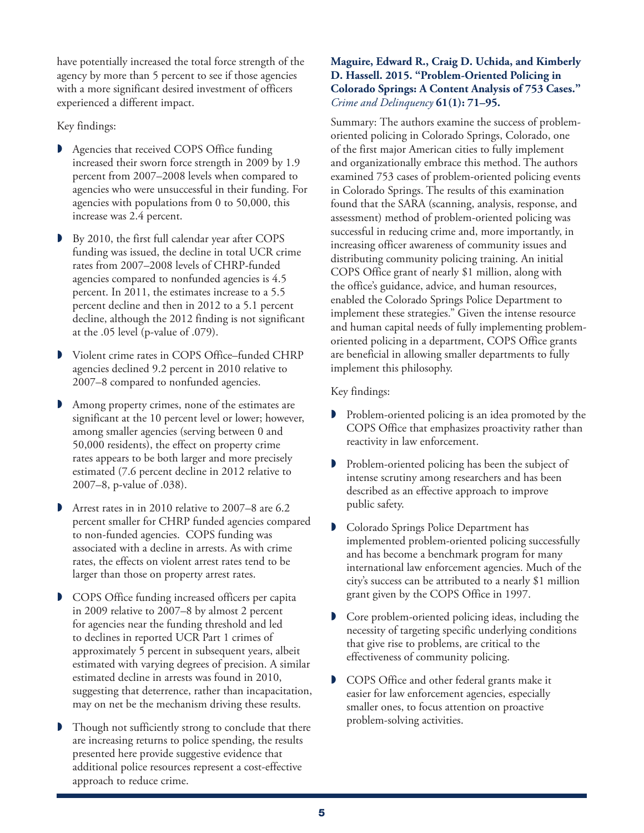have potentially increased the total force strength of the agency by more than 5 percent to see if those agencies with a more significant desired investment of officers experienced a different impact.

Key findings:

- Agencies that received COPS Office funding increased their sworn force strength in 2009 by 1.9 percent from 2007–2008 levels when compared to agencies who were unsuccessful in their funding. For agencies with populations from 0 to 50,000, this increase was 2.4 percent.
- By 2010, the first full calendar year after COPS funding was issued, the decline in total UCR crime rates from 2007–2008 levels of CHRP-funded agencies compared to nonfunded agencies is 4.5 percent. In 2011, the estimates increase to a 5.5 percent decline and then in 2012 to a 5.1 percent decline, although the 2012 finding is not significant at the .05 level (p-value of .079).
- Violent crime rates in COPS Office–funded CHRP agencies declined 9.2 percent in 2010 relative to 2007–8 compared to nonfunded agencies.
- Among property crimes, none of the estimates are significant at the 10 percent level or lower; however, among smaller agencies (serving between 0 and 50,000 residents), the effect on property crime rates appears to be both larger and more precisely estimated (7.6 percent decline in 2012 relative to 2007–8, p-value of .038).
- Arrest rates in in 2010 relative to 2007–8 are 6.2 percent smaller for CHRP funded agencies compared to non-funded agencies. COPS funding was associated with a decline in arrests. As with crime rates, the effects on violent arrest rates tend to be larger than those on property arrest rates.
- COPS Office funding increased officers per capita in 2009 relative to 2007–8 by almost 2 percent for agencies near the funding threshold and led to declines in reported UCR Part 1 crimes of approximately 5 percent in subsequent years, albeit estimated with varying degrees of precision. A similar estimated decline in arrests was found in 2010, suggesting that deterrence, rather than incapacitation, may on net be the mechanism driving these results.
- Though not sufficiently strong to conclude that there are increasing returns to police spending, the results presented here provide suggestive evidence that additional police resources represent a cost-effective approach to reduce crime.

# **Maguire, Edward R., Craig D. Uchida, and Kimberly D. Hassell. 2015. "Problem-Oriented Policing in Colorado Springs: A Content Analysis of 753 Cases."**  *Crime and Delinquency* **61(1): 71–95.**

Summary: The authors examine the success of problemoriented policing in Colorado Springs, Colorado, one of the first major American cities to fully implement and organizationally embrace this method. The authors examined 753 cases of problem-oriented policing events in Colorado Springs. The results of this examination found that the SARA (scanning, analysis, response, and assessment) method of problem-oriented policing was successful in reducing crime and, more importantly, in increasing officer awareness of community issues and distributing community policing training. An initial COPS Office grant of nearly \$1 million, along with the office's guidance, advice, and human resources, enabled the Colorado Springs Police Department to implement these strategies." Given the intense resource and human capital needs of fully implementing problemoriented policing in a department, COPS Office grants are beneficial in allowing smaller departments to fully implement this philosophy.

- **P** Problem-oriented policing is an idea promoted by the COPS Office that emphasizes proactivity rather than reactivity in law enforcement.
- Problem-oriented policing has been the subject of intense scrutiny among researchers and has been described as an effective approach to improve public safety.
- Colorado Springs Police Department has implemented problem-oriented policing successfully and has become a benchmark program for many international law enforcement agencies. Much of the city's success can be attributed to a nearly \$1 million grant given by the COPS Office in 1997.
- **D** Core problem-oriented policing ideas, including the necessity of targeting specific underlying conditions that give rise to problems, are critical to the effectiveness of community policing.
- COPS Office and other federal grants make it easier for law enforcement agencies, especially smaller ones, to focus attention on proactive problem-solving activities.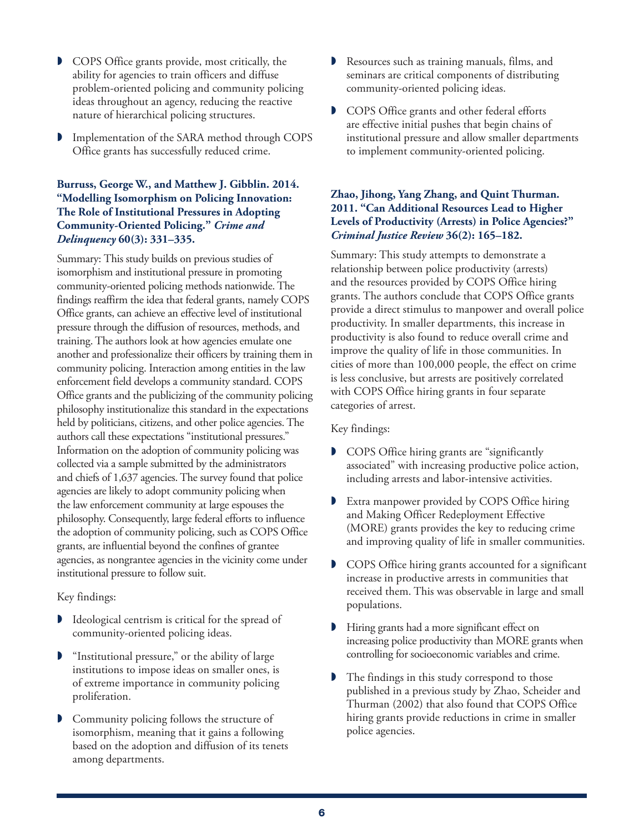- COPS Office grants provide, most critically, the ability for agencies to train officers and diffuse problem-oriented policing and community policing ideas throughout an agency, reducing the reactive nature of hierarchical policing structures.
- Implementation of the SARA method through COPS Office grants has successfully reduced crime.

# **Burruss, George W., and Matthew J. Gibblin. 2014. "Modelling Isomorphism on Policing Innovation: The Role of Institutional Pressures in Adopting Community-Oriented Policing."** *Crime and Delinquency* **60(3): 331–335.**

Summary: This study builds on previous studies of isomorphism and institutional pressure in promoting community-oriented policing methods nationwide. The findings reaffirm the idea that federal grants, namely COPS Office grants, can achieve an effective level of institutional pressure through the diffusion of resources, methods, and training. The authors look at how agencies emulate one another and professionalize their officers by training them in community policing. Interaction among entities in the law enforcement field develops a community standard. COPS Office grants and the publicizing of the community policing philosophy institutionalize this standard in the expectations held by politicians, citizens, and other police agencies. The authors call these expectations "institutional pressures." Information on the adoption of community policing was collected via a sample submitted by the administrators and chiefs of 1,637 agencies. The survey found that police agencies are likely to adopt community policing when the law enforcement community at large espouses the philosophy. Consequently, large federal efforts to influence the adoption of community policing, such as COPS Office grants, are influential beyond the confines of grantee agencies, as nongrantee agencies in the vicinity come under institutional pressure to follow suit.

Key findings:

- **I** Ideological centrism is critical for the spread of community-oriented policing ideas.
- "Institutional pressure," or the ability of large institutions to impose ideas on smaller ones, is of extreme importance in community policing proliferation.
- Community policing follows the structure of isomorphism, meaning that it gains a following based on the adoption and diffusion of its tenets among departments.
- Resources such as training manuals, films, and seminars are critical components of distributing community-oriented policing ideas.
- COPS Office grants and other federal efforts are effective initial pushes that begin chains of institutional pressure and allow smaller departments to implement community-oriented policing.

# **Zhao, Jihong, Yang Zhang, and Quint Thurman. 2011. "Can Additional Resources Lead to Higher Levels of Productivity (Arrests) in Police Agencies?"**  *Criminal Justice Review* **36(2): 165–182.**

Summary: This study attempts to demonstrate a relationship between police productivity (arrests) and the resources provided by COPS Office hiring grants. The authors conclude that COPS Office grants provide a direct stimulus to manpower and overall police productivity. In smaller departments, this increase in productivity is also found to reduce overall crime and improve the quality of life in those communities. In cities of more than 100,000 people, the effect on crime is less conclusive, but arrests are positively correlated with COPS Office hiring grants in four separate categories of arrest.

- **D** COPS Office hiring grants are "significantly associated" with increasing productive police action, including arrests and labor-intensive activities.
- Extra manpower provided by COPS Office hiring and Making Officer Redeployment Effective (MORE) grants provides the key to reducing crime and improving quality of life in smaller communities.
- COPS Office hiring grants accounted for a significant increase in productive arrests in communities that received them. This was observable in large and small populations.
- Hiring grants had a more significant effect on increasing police productivity than MORE grants when controlling for socioeconomic variables and crime.
- The findings in this study correspond to those published in a previous study by Zhao, Scheider and Thurman (2002) that also found that COPS Office hiring grants provide reductions in crime in smaller police agencies.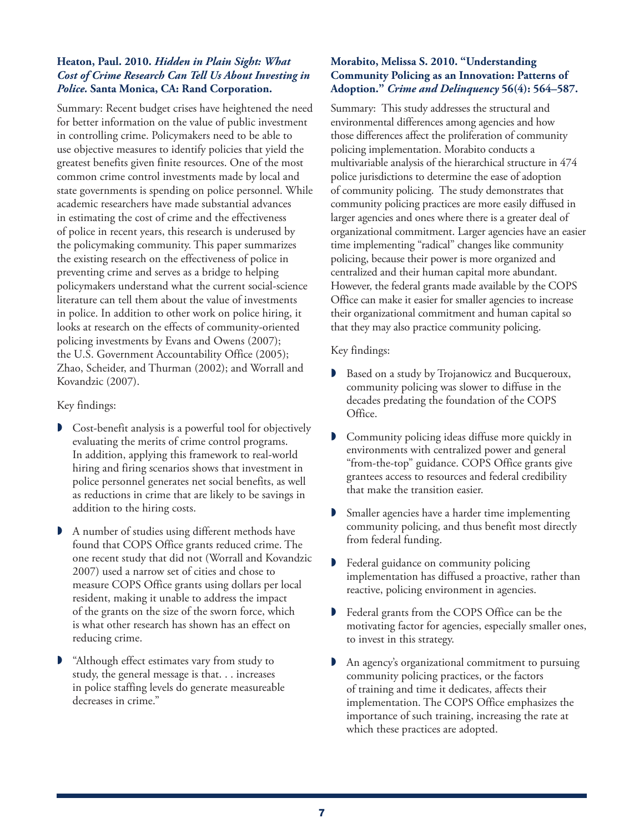#### **Heaton, Paul. 2010.** *Hidden in Plain Sight: What Cost of Crime Research Can Tell Us About Investing in Police.* **Santa Monica, CA: Rand Corporation.**

Summary: Recent budget crises have heightened the need for better information on the value of public investment in controlling crime. Policymakers need to be able to use objective measures to identify policies that yield the greatest benefits given finite resources. One of the most common crime control investments made by local and state governments is spending on police personnel. While academic researchers have made substantial advances in estimating the cost of crime and the effectiveness of police in recent years, this research is underused by the policymaking community. This paper summarizes the existing research on the effectiveness of police in preventing crime and serves as a bridge to helping policymakers understand what the current social-science literature can tell them about the value of investments in police. In addition to other work on police hiring, it looks at research on the effects of community-oriented policing investments by Evans and Owens (2007); the U.S. Government Accountability Office (2005); Zhao, Scheider, and Thurman (2002); and Worrall and Kovandzic (2007).

## Key findings:

- Cost-benefit analysis is a powerful tool for objectively evaluating the merits of crime control programs. In addition, applying this framework to real-world hiring and firing scenarios shows that investment in police personnel generates net social benefits, as well as reductions in crime that are likely to be savings in addition to the hiring costs.
- A number of studies using different methods have found that COPS Office grants reduced crime. The one recent study that did not (Worrall and Kovandzic 2007) used a narrow set of cities and chose to measure COPS Office grants using dollars per local resident, making it unable to address the impact of the grants on the size of the sworn force, which is what other research has shown has an effect on reducing crime.
- "Although effect estimates vary from study to study, the general message is that. . . increases in police staffing levels do generate measureable decreases in crime."

### **Morabito, Melissa S. 2010. "Understanding Community Policing as an Innovation: Patterns of Adoption."** *Crime and Delinquency* **56(4): 564–587.**

Summary:This study addresses the structural and environmental differences among agencies and how those differences affect the proliferation of community policing implementation. Morabito conducts a multivariable analysis of the hierarchical structure in 474 police jurisdictions to determine the ease of adoption of community policing. The study demonstrates that community policing practices are more easily diffused in larger agencies and ones where there is a greater deal of organizational commitment. Larger agencies have an easier time implementing "radical" changes like community policing, because their power is more organized and centralized and their human capital more abundant. However, the federal grants made available by the COPS Office can make it easier for smaller agencies to increase their organizational commitment and human capital so that they may also practice community policing.

- Based on a study by Trojanowicz and Bucqueroux, community policing was slower to diffuse in the decades predating the foundation of the COPS Office.
- Community policing ideas diffuse more quickly in environments with centralized power and general "from-the-top" guidance. COPS Office grants give grantees access to resources and federal credibility that make the transition easier.
- Smaller agencies have a harder time implementing community policing, and thus benefit most directly from federal funding.
- **P** Federal guidance on community policing implementation has diffused a proactive, rather than reactive, policing environment in agencies.
- Federal grants from the COPS Office can be the motivating factor for agencies, especially smaller ones, to invest in this strategy.
- An agency's organizational commitment to pursuing community policing practices, or the factors of training and time it dedicates, affects their implementation. The COPS Office emphasizes the importance of such training, increasing the rate at which these practices are adopted.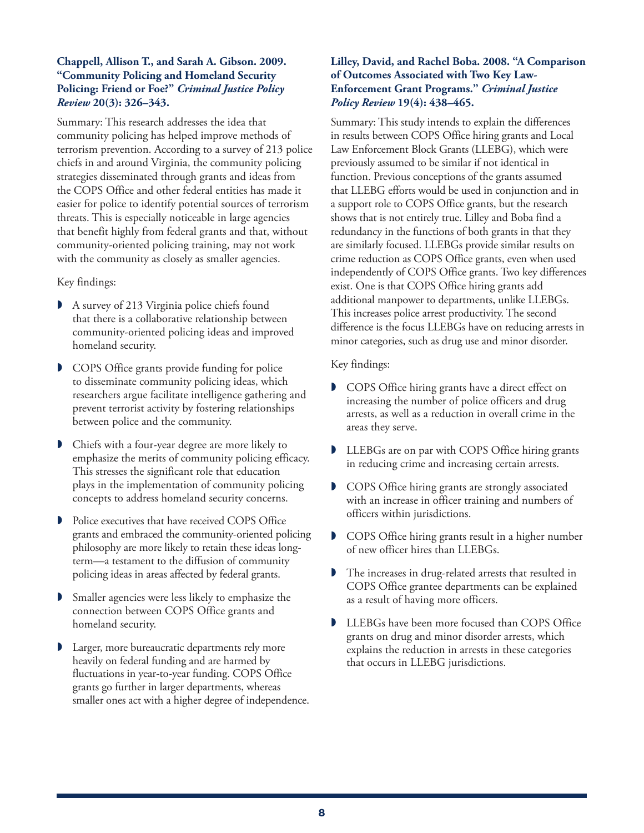## **Chappell, Allison T., and Sarah A. Gibson. 2009. "Community Policing and Homeland Security Policing: Friend or Foe?"** *Criminal Justice Policy Review* **20(3): 326–343.**

Summary: This research addresses the idea that community policing has helped improve methods of terrorism prevention. According to a survey of 213 police chiefs in and around Virginia, the community policing strategies disseminated through grants and ideas from the COPS Office and other federal entities has made it easier for police to identify potential sources of terrorism threats. This is especially noticeable in large agencies that benefit highly from federal grants and that, without community-oriented policing training, may not work with the community as closely as smaller agencies.

#### Key findings:

- A survey of 213 Virginia police chiefs found that there is a collaborative relationship between community-oriented policing ideas and improved homeland security.
- **D** COPS Office grants provide funding for police to disseminate community policing ideas, which researchers argue facilitate intelligence gathering and prevent terrorist activity by fostering relationships between police and the community.
- Chiefs with a four-year degree are more likely to emphasize the merits of community policing efficacy. This stresses the significant role that education plays in the implementation of community policing concepts to address homeland security concerns.
- **P** Police executives that have received COPS Office grants and embraced the community-oriented policing philosophy are more likely to retain these ideas longterm—a testament to the diffusion of community policing ideas in areas affected by federal grants.
- Smaller agencies were less likely to emphasize the connection between COPS Office grants and homeland security.
- Larger, more bureaucratic departments rely more heavily on federal funding and are harmed by fluctuations in year-to-year funding. COPS Office grants go further in larger departments, whereas smaller ones act with a higher degree of independence.

# **Lilley, David, and Rachel Boba. 2008. "A Comparison of Outcomes Associated with Two Key Law-Enforcement Grant Programs."** *Criminal Justice Policy Review* **19(4): 438–465.**

Summary: This study intends to explain the differences in results between COPS Office hiring grants and Local Law Enforcement Block Grants (LLEBG), which were previously assumed to be similar if not identical in function. Previous conceptions of the grants assumed that LLEBG efforts would be used in conjunction and in a support role to COPS Office grants, but the research shows that is not entirely true. Lilley and Boba find a redundancy in the functions of both grants in that they are similarly focused. LLEBGs provide similar results on crime reduction as COPS Office grants, even when used independently of COPS Office grants. Two key differences exist. One is that COPS Office hiring grants add additional manpower to departments, unlike LLEBGs. This increases police arrest productivity. The second difference is the focus LLEBGs have on reducing arrests in minor categories, such as drug use and minor disorder.

- COPS Office hiring grants have a direct effect on increasing the number of police officers and drug arrests, as well as a reduction in overall crime in the areas they serve.
- LLEBGs are on par with COPS Office hiring grants in reducing crime and increasing certain arrests.
- **D** COPS Office hiring grants are strongly associated with an increase in officer training and numbers of officers within jurisdictions.
- COPS Office hiring grants result in a higher number of new officer hires than LLEBGs.
- The increases in drug-related arrests that resulted in COPS Office grantee departments can be explained as a result of having more officers.
- LLEBGs have been more focused than COPS Office grants on drug and minor disorder arrests, which explains the reduction in arrests in these categories that occurs in LLEBG jurisdictions.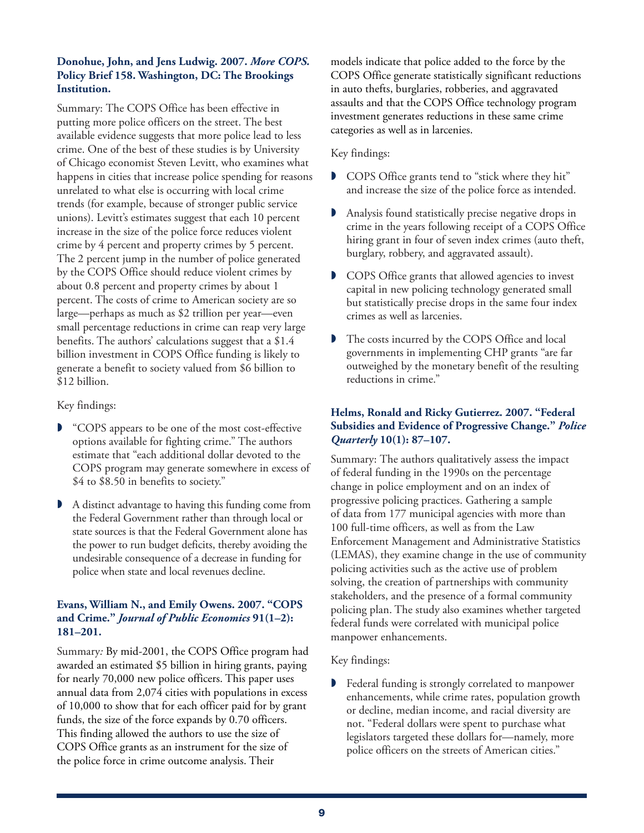# **Donohue, John, and Jens Ludwig. 2007.** *More COPS.* **Policy Brief 158. Washington, DC: The Brookings Institution.**

Summary: The COPS Office has been effective in putting more police officers on the street. The best available evidence suggests that more police lead to less crime. One of the best of these studies is by University of Chicago economist Steven Levitt, who examines what happens in cities that increase police spending for reasons unrelated to what else is occurring with local crime trends (for example, because of stronger public service unions). Levitt's estimates suggest that each 10 percent increase in the size of the police force reduces violent crime by 4 percent and property crimes by 5 percent. The 2 percent jump in the number of police generated by the COPS Office should reduce violent crimes by about 0.8 percent and property crimes by about 1 percent. The costs of crime to American society are so large—perhaps as much as \$2 trillion per year—even small percentage reductions in crime can reap very large benefits. The authors' calculations suggest that a \$1.4 billion investment in COPS Office funding is likely to generate a benefit to society valued from \$6 billion to \$12 billion.

Key findings:

- **D** "COPS appears to be one of the most cost-effective options available for fighting crime." The authors estimate that "each additional dollar devoted to the COPS program may generate somewhere in excess of \$4 to \$8.50 in benefits to society."
- A distinct advantage to having this funding come from the Federal Government rather than through local or state sources is that the Federal Government alone has the power to run budget deficits, thereby avoiding the undesirable consequence of a decrease in funding for police when state and local revenues decline.

# **Evans, William N., and Emily Owens. 2007. "COPS and Crime."** *Journal of Public Economics* **91(1–2): 181–201.**

Summary*:* By mid-2001, the COPS Office program had awarded an estimated \$5 billion in hiring grants, paying for nearly 70,000 new police officers. This paper uses annual data from 2,074 cities with populations in excess of 10,000 to show that for each officer paid for by grant funds, the size of the force expands by 0.70 officers. This finding allowed the authors to use the size of COPS Office grants as an instrument for the size of the police force in crime outcome analysis. Their

models indicate that police added to the force by the COPS Office generate statistically significant reductions in auto thefts, burglaries, robberies, and aggravated assaults and that the COPS Office technology program investment generates reductions in these same crime categories as well as in larcenies.

# Key findings:

- **D** COPS Office grants tend to "stick where they hit" and increase the size of the police force as intended.
- Analysis found statistically precise negative drops in crime in the years following receipt of a COPS Office hiring grant in four of seven index crimes (auto theft, burglary, robbery, and aggravated assault).
- **D** COPS Office grants that allowed agencies to invest capital in new policing technology generated small but statistically precise drops in the same four index crimes as well as larcenies.
- The costs incurred by the COPS Office and local governments in implementing CHP grants "are far outweighed by the monetary benefit of the resulting reductions in crime."

# **Helms, Ronald and Ricky Gutierrez. 2007. "Federal Subsidies and Evidence of Progressive Change."** *Police Quarterly* **10(1): 87–107.**

Summary: The authors qualitatively assess the impact of federal funding in the 1990s on the percentage change in police employment and on an index of progressive policing practices. Gathering a sample of data from 177 municipal agencies with more than 100 full-time officers, as well as from the Law Enforcement Management and Administrative Statistics (LEMAS), they examine change in the use of community policing activities such as the active use of problem solving, the creation of partnerships with community stakeholders, and the presence of a formal community policing plan. The study also examines whether targeted federal funds were correlated with municipal police manpower enhancements.

# Key findings:

**P** Federal funding is strongly correlated to manpower enhancements, while crime rates, population growth or decline, median income, and racial diversity are not. "Federal dollars were spent to purchase what legislators targeted these dollars for—namely, more police officers on the streets of American cities."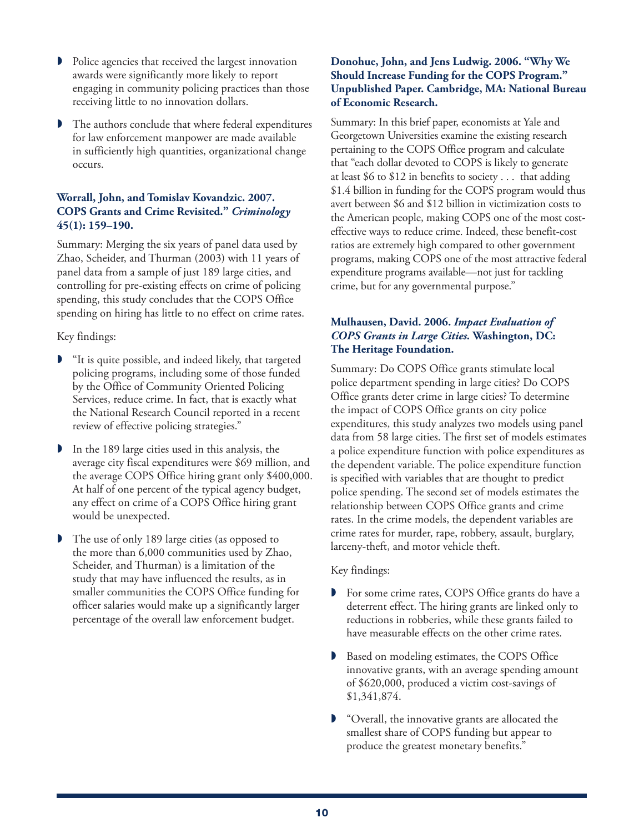- Police agencies that received the largest innovation awards were significantly more likely to report engaging in community policing practices than those receiving little to no innovation dollars.
- The authors conclude that where federal expenditures for law enforcement manpower are made available in sufficiently high quantities, organizational change occurs.

# **Worrall, John, and Tomislav Kovandzic. 2007. COPS Grants and Crime Revisited."** *Criminology*  **45(1): 159–190.**

Summary: Merging the six years of panel data used by Zhao, Scheider, and Thurman (2003) with 11 years of panel data from a sample of just 189 large cities, and controlling for pre-existing effects on crime of policing spending, this study concludes that the COPS Office spending on hiring has little to no effect on crime rates.

Key findings:

- "It is quite possible, and indeed likely, that targeted policing programs, including some of those funded by the Office of Community Oriented Policing Services, reduce crime. In fact, that is exactly what the National Research Council reported in a recent review of effective policing strategies."
- In the 189 large cities used in this analysis, the average city fiscal expenditures were \$69 million, and the average COPS Office hiring grant only \$400,000. At half of one percent of the typical agency budget, any effect on crime of a COPS Office hiring grant would be unexpected.
- The use of only 189 large cities (as opposed to the more than 6,000 communities used by Zhao, Scheider, and Thurman) is a limitation of the study that may have influenced the results, as in smaller communities the COPS Office funding for officer salaries would make up a significantly larger percentage of the overall law enforcement budget.

## **Donohue, John, and Jens Ludwig. 2006. "Why We Should Increase Funding for the COPS Program." Unpublished Paper. Cambridge, MA: National Bureau of Economic Research.**

Summary: In this brief paper, economists at Yale and Georgetown Universities examine the existing research pertaining to the COPS Office program and calculate that "each dollar devoted to COPS is likely to generate at least \$6 to \$12 in benefits to society . . . that adding \$1.4 billion in funding for the COPS program would thus avert between \$6 and \$12 billion in victimization costs to the American people, making COPS one of the most costeffective ways to reduce crime. Indeed, these benefit-cost ratios are extremely high compared to other government programs, making COPS one of the most attractive federal expenditure programs available—not just for tackling crime, but for any governmental purpose."

# **Mulhausen, David. 2006.** *Impact Evaluation of COPS Grants in Large Cities.* **Washington, DC: The Heritage Foundation.**

Summary: Do COPS Office grants stimulate local police department spending in large cities? Do COPS Office grants deter crime in large cities? To determine the impact of COPS Office grants on city police expenditures, this study analyzes two models using panel data from 58 large cities. The first set of models estimates a police expenditure function with police expenditures as the dependent variable. The police expenditure function is specified with variables that are thought to predict police spending. The second set of models estimates the relationship between COPS Office grants and crime rates. In the crime models, the dependent variables are crime rates for murder, rape, robbery, assault, burglary, larceny-theft, and motor vehicle theft.

- **For some crime rates, COPS Office grants do have a** deterrent effect. The hiring grants are linked only to reductions in robberies, while these grants failed to have measurable effects on the other crime rates.
- **Based on modeling estimates, the COPS Office** innovative grants, with an average spending amount of \$620,000, produced a victim cost-savings of \$1,341,874.
- "Overall, the innovative grants are allocated the smallest share of COPS funding but appear to produce the greatest monetary benefits."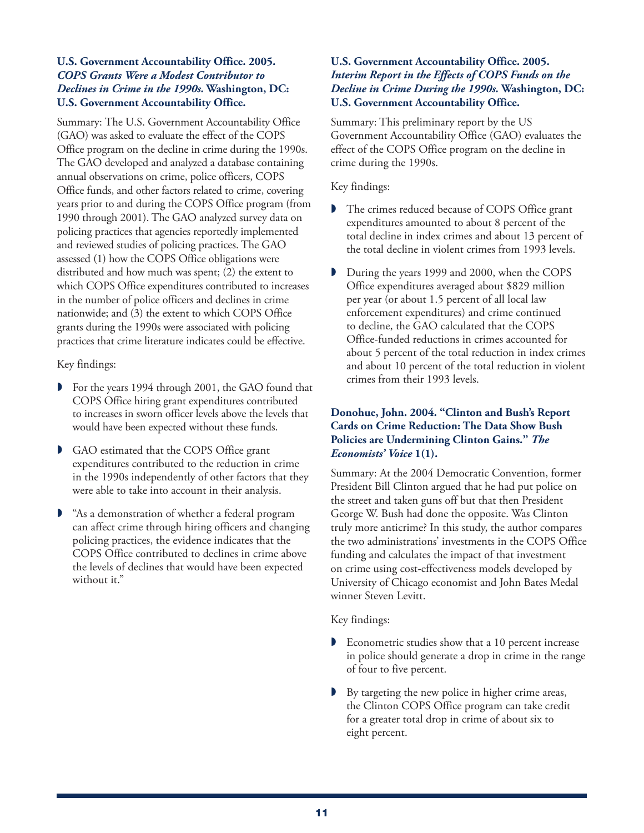#### **U.S. Government Accountability Office. 2005.**  *COPS Grants Were a Modest Contributor to Declines in Crime in the 1990s.* **Washington, DC: U.S. Government Accountability Office.**

Summary: The U.S. Government Accountability Office (GAO) was asked to evaluate the effect of the COPS Office program on the decline in crime during the 1990s. The GAO developed and analyzed a database containing annual observations on crime, police officers, COPS Office funds, and other factors related to crime, covering years prior to and during the COPS Office program (from 1990 through 2001). The GAO analyzed survey data on policing practices that agencies reportedly implemented and reviewed studies of policing practices. The GAO assessed (1) how the COPS Office obligations were distributed and how much was spent; (2) the extent to which COPS Office expenditures contributed to increases in the number of police officers and declines in crime nationwide; and (3) the extent to which COPS Office grants during the 1990s were associated with policing practices that crime literature indicates could be effective.

Key findings:

- For the years 1994 through 2001, the GAO found that COPS Office hiring grant expenditures contributed to increases in sworn officer levels above the levels that would have been expected without these funds.
- GAO estimated that the COPS Office grant expenditures contributed to the reduction in crime in the 1990s independently of other factors that they were able to take into account in their analysis.
- "As a demonstration of whether a federal program can affect crime through hiring officers and changing policing practices, the evidence indicates that the COPS Office contributed to declines in crime above the levels of declines that would have been expected without it."

## **U.S. Government Accountability Office. 2005.**  *Interim Report in the Effects of COPS Funds on the Decline in Crime During the 1990s.* **Washington, DC: U.S. Government Accountability Office.**

Summary: This preliminary report by the US Government Accountability Office (GAO) evaluates the effect of the COPS Office program on the decline in crime during the 1990s.

Key findings:

- The crimes reduced because of COPS Office grant expenditures amounted to about 8 percent of the total decline in index crimes and about 13 percent of the total decline in violent crimes from 1993 levels.
- During the years 1999 and 2000, when the COPS Office expenditures averaged about \$829 million per year (or about 1.5 percent of all local law enforcement expenditures) and crime continued to decline, the GAO calculated that the COPS Office-funded reductions in crimes accounted for about 5 percent of the total reduction in index crimes and about 10 percent of the total reduction in violent crimes from their 1993 levels.

# **Donohue, John. 2004. "Clinton and Bush's Report Cards on Crime Reduction: The Data Show Bush Policies are Undermining Clinton Gains."** *The Economists' Voice* **1(1).**

Summary: At the 2004 Democratic Convention, former President Bill Clinton argued that he had put police on the street and taken guns off but that then President George W. Bush had done the opposite. Was Clinton truly more anticrime? In this study, the author compares the two administrations' investments in the COPS Office funding and calculates the impact of that investment on crime using cost-effectiveness models developed by University of Chicago economist and John Bates Medal winner Steven Levitt.

- Econometric studies show that a 10 percent increase in police should generate a drop in crime in the range of four to five percent.
- By targeting the new police in higher crime areas, the Clinton COPS Office program can take credit for a greater total drop in crime of about six to eight percent.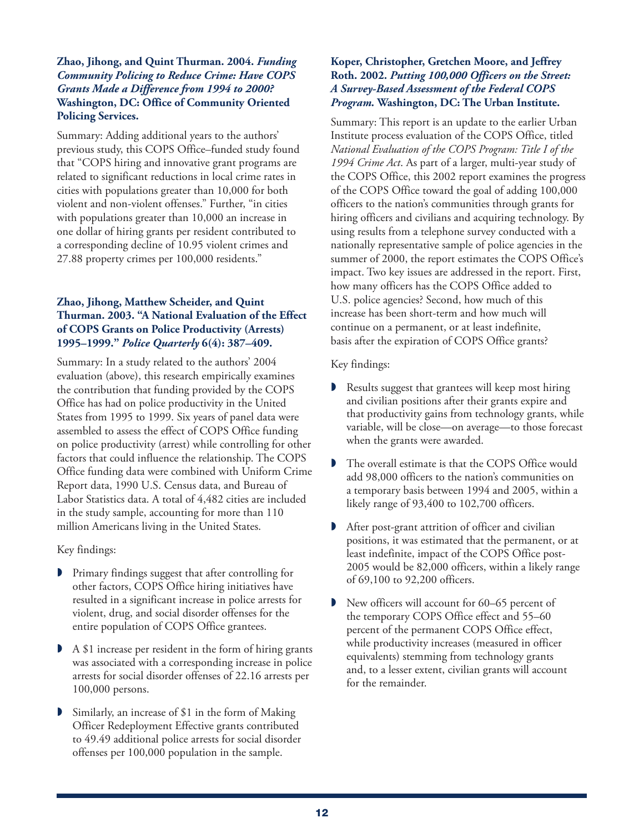#### **Zhao, Jihong, and Quint Thurman. 2004.** *Funding Community Policing to Reduce Crime: Have COPS Grants Made a Difference from 1994 to 2000?*  **Washington, DC: Office of Community Oriented Policing Services.**

Summary: Adding additional years to the authors' previous study, this COPS Office–funded study found that "COPS hiring and innovative grant programs are related to significant reductions in local crime rates in cities with populations greater than 10,000 for both violent and non-violent offenses." Further, "in cities with populations greater than 10,000 an increase in one dollar of hiring grants per resident contributed to a corresponding decline of 10.95 violent crimes and 27.88 property crimes per 100,000 residents."

# **Zhao, Jihong, Matthew Scheider, and Quint Thurman. 2003. "A National Evaluation of the Effect of COPS Grants on Police Productivity (Arrests) 1995–1999."** *Police Quarterly* **6(4): 387–409.**

Summary: In a study related to the authors' 2004 evaluation (above), this research empirically examines the contribution that funding provided by the COPS Office has had on police productivity in the United States from 1995 to 1999. Six years of panel data were assembled to assess the effect of COPS Office funding on police productivity (arrest) while controlling for other factors that could influence the relationship. The COPS Office funding data were combined with Uniform Crime Report data, 1990 U.S. Census data, and Bureau of Labor Statistics data. A total of 4,482 cities are included in the study sample, accounting for more than 110 million Americans living in the United States.

Key findings:

- Primary findings suggest that after controlling for other factors, COPS Office hiring initiatives have resulted in a significant increase in police arrests for violent, drug, and social disorder offenses for the entire population of COPS Office grantees.
- A \$1 increase per resident in the form of hiring grants was associated with a corresponding increase in police arrests for social disorder offenses of 22.16 arrests per 100,000 persons.
- Similarly, an increase of \$1 in the form of Making Officer Redeployment Effective grants contributed to 49.49 additional police arrests for social disorder offenses per 100,000 population in the sample.

# **Koper, Christopher, Gretchen Moore, and Jeffrey Roth. 2002.** *Putting 100,000 Officers on the Street: A Survey-Based Assessment of the Federal COPS Program.* **Washington, DC: The Urban Institute.**

Summary: This report is an update to the earlier Urban Institute process evaluation of the COPS Office, titled *National Evaluation of the COPS Program: Title I of the 1994 Crime Act*. As part of a larger, multi-year study of the COPS Office, this 2002 report examines the progress of the COPS Office toward the goal of adding 100,000 officers to the nation's communities through grants for hiring officers and civilians and acquiring technology. By using results from a telephone survey conducted with a nationally representative sample of police agencies in the summer of 2000, the report estimates the COPS Office's impact. Two key issues are addressed in the report. First, how many officers has the COPS Office added to U.S. police agencies? Second, how much of this increase has been short-term and how much will continue on a permanent, or at least indefinite, basis after the expiration of COPS Office grants?

- Results suggest that grantees will keep most hiring and civilian positions after their grants expire and that productivity gains from technology grants, while variable, will be close—on average—to those forecast when the grants were awarded.
- The overall estimate is that the COPS Office would add 98,000 officers to the nation's communities on a temporary basis between 1994 and 2005, within a likely range of 93,400 to 102,700 officers.
- After post-grant attrition of officer and civilian positions, it was estimated that the permanent, or at least indefinite, impact of the COPS Office post-2005 would be 82,000 officers, within a likely range of 69,100 to 92,200 officers.
- New officers will account for 60–65 percent of the temporary COPS Office effect and 55–60 percent of the permanent COPS Office effect, while productivity increases (measured in officer equivalents) stemming from technology grants and, to a lesser extent, civilian grants will account for the remainder.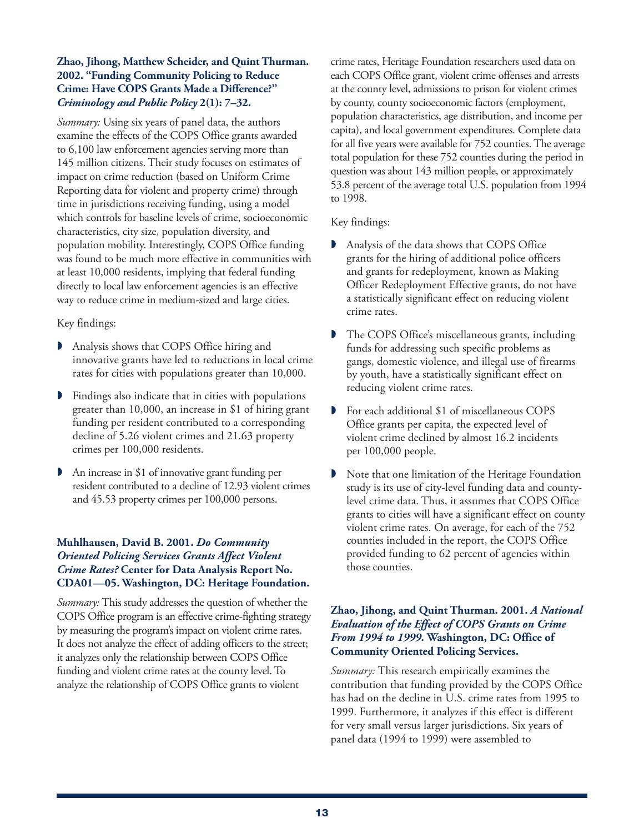# **Zhao, Jihong, Matthew Scheider, and Quint Thurman. 2002. "Funding Community Policing to Reduce Crime: Have COPS Grants Made a Difference?"**  *Criminology and Public Policy* **2(1): 7–32.**

*Summary:* Using six years of panel data, the authors examine the effects of the COPS Office grants awarded to 6,100 law enforcement agencies serving more than 145 million citizens. Their study focuses on estimates of impact on crime reduction (based on Uniform Crime Reporting data for violent and property crime) through time in jurisdictions receiving funding, using a model which controls for baseline levels of crime, socioeconomic characteristics, city size, population diversity, and population mobility. Interestingly, COPS Office funding was found to be much more effective in communities with at least 10,000 residents, implying that federal funding directly to local law enforcement agencies is an effective way to reduce crime in medium-sized and large cities.

## Key findings:

- Analysis shows that COPS Office hiring and innovative grants have led to reductions in local crime rates for cities with populations greater than 10,000.
- Findings also indicate that in cities with populations greater than 10,000, an increase in \$1 of hiring grant funding per resident contributed to a corresponding decline of 5.26 violent crimes and 21.63 property crimes per 100,000 residents.
- An increase in \$1 of innovative grant funding per resident contributed to a decline of 12.93 violent crimes and 45.53 property crimes per 100,000 persons.

# **Muhlhausen, David B. 2001.** *Do Community Oriented Policing Services Grants Affect Violent Crime Rates?* **Center for Data Analysis Report No. CDA01—05. Washington, DC: Heritage Foundation.**

*Summary:* This study addresses the question of whether the COPS Office program is an effective crime-fighting strategy by measuring the program's impact on violent crime rates. It does not analyze the effect of adding officers to the street; it analyzes only the relationship between COPS Office funding and violent crime rates at the county level. To analyze the relationship of COPS Office grants to violent

crime rates, Heritage Foundation researchers used data on each COPS Office grant, violent crime offenses and arrests at the county level, admissions to prison for violent crimes by county, county socioeconomic factors (employment, population characteristics, age distribution, and income per capita), and local government expenditures. Complete data for all five years were available for 752 counties. The average total population for these 752 counties during the period in question was about 143 million people, or approximately 53.8 percent of the average total U.S. population from 1994 to 1998.

# Key findings:

- Analysis of the data shows that COPS Office grants for the hiring of additional police officers and grants for redeployment, known as Making Officer Redeployment Effective grants, do not have a statistically significant effect on reducing violent crime rates.
- **The COPS Office's miscellaneous grants, including** funds for addressing such specific problems as gangs, domestic violence, and illegal use of firearms by youth, have a statistically significant effect on reducing violent crime rates.
- For each additional \$1 of miscellaneous COPS Office grants per capita, the expected level of violent crime declined by almost 16.2 incidents per 100,000 people.
- Note that one limitation of the Heritage Foundation study is its use of city-level funding data and countylevel crime data. Thus, it assumes that COPS Office grants to cities will have a significant effect on county violent crime rates. On average, for each of the 752 counties included in the report, the COPS Office provided funding to 62 percent of agencies within those counties.

# **Zhao, Jihong, and Quint Thurman. 2001.** *A National Evaluation of the Effect of COPS Grants on Crime From 1994 to 1999.* **Washington, DC: Office of Community Oriented Policing Services.**

*Summary:* This research empirically examines the contribution that funding provided by the COPS Office has had on the decline in U.S. crime rates from 1995 to 1999. Furthermore, it analyzes if this effect is different for very small versus larger jurisdictions. Six years of panel data (1994 to 1999) were assembled to